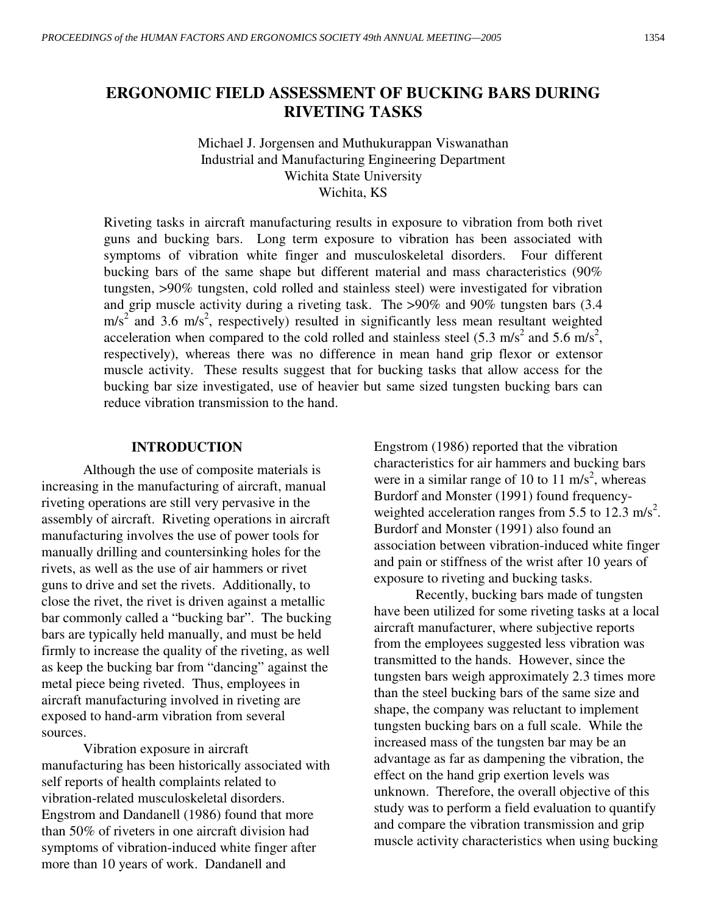# **ERGONOMIC FIELD ASSESSMENT OF BUCKING BARS DURING RIVETING TASKS**

Michael J. Jorgensen and Muthukurappan Viswanathan Industrial and Manufacturing Engineering Department Wichita State University Wichita, KS

Riveting tasks in aircraft manufacturing results in exposure to vibration from both rivet guns and bucking bars. Long term exposure to vibration has been associated with symptoms of vibration white finger and musculoskeletal disorders. Four different bucking bars of the same shape but different material and mass characteristics (90% tungsten, >90% tungsten, cold rolled and stainless steel) were investigated for vibration and grip muscle activity during a riveting task. The >90% and 90% tungsten bars (3.4  $m/s<sup>2</sup>$  and 3.6 m/s<sup>2</sup>, respectively) resulted in significantly less mean resultant weighted acceleration when compared to the cold rolled and stainless steel  $(5.3 \text{ m/s}^2 \text{ and } 5.6 \text{ m/s}^2)$ , respectively), whereas there was no difference in mean hand grip flexor or extensor muscle activity. These results suggest that for bucking tasks that allow access for the bucking bar size investigated, use of heavier but same sized tungsten bucking bars can reduce vibration transmission to the hand.

#### **INTRODUCTION**

Although the use of composite materials is increasing in the manufacturing of aircraft, manual riveting operations are still very pervasive in the assembly of aircraft. Riveting operations in aircraft manufacturing involves the use of power tools for manually drilling and countersinking holes for the rivets, as well as the use of air hammers or rivet guns to drive and set the rivets. Additionally, to close the rivet, the rivet is driven against a metallic bar commonly called a "bucking bar". The bucking bars are typically held manually, and must be held firmly to increase the quality of the riveting, as well as keep the bucking bar from "dancing" against the metal piece being riveted. Thus, employees in aircraft manufacturing involved in riveting are exposed to hand-arm vibration from several sources.

 Vibration exposure in aircraft manufacturing has been historically associated with self reports of health complaints related to vibration-related musculoskeletal disorders. Engstrom and Dandanell (1986) found that more than 50% of riveters in one aircraft division had symptoms of vibration-induced white finger after more than 10 years of work. Dandanell and

Engstrom (1986) reported that the vibration characteristics for air hammers and bucking bars were in a similar range of 10 to 11 m/s<sup>2</sup>, whereas Burdorf and Monster (1991) found frequencyweighted acceleration ranges from 5.5 to 12.3 m/s<sup>2</sup>. Burdorf and Monster (1991) also found an association between vibration-induced white finger and pain or stiffness of the wrist after 10 years of exposure to riveting and bucking tasks.

 Recently, bucking bars made of tungsten have been utilized for some riveting tasks at a local aircraft manufacturer, where subjective reports from the employees suggested less vibration was transmitted to the hands. However, since the tungsten bars weigh approximately 2.3 times more than the steel bucking bars of the same size and shape, the company was reluctant to implement tungsten bucking bars on a full scale. While the increased mass of the tungsten bar may be an advantage as far as dampening the vibration, the effect on the hand grip exertion levels was unknown. Therefore, the overall objective of this study was to perform a field evaluation to quantify and compare the vibration transmission and grip muscle activity characteristics when using bucking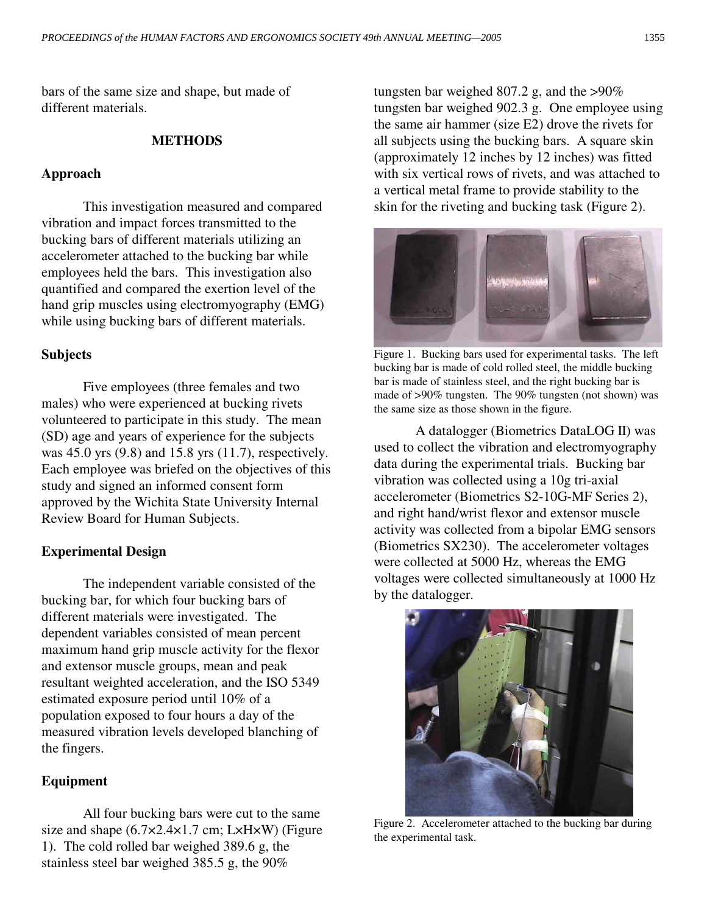bars of the same size and shape, but made of different materials.

## **METHODS**

## **Approach**

 This investigation measured and compared vibration and impact forces transmitted to the bucking bars of different materials utilizing an accelerometer attached to the bucking bar while employees held the bars. This investigation also quantified and compared the exertion level of the hand grip muscles using electromyography (EMG) while using bucking bars of different materials.

## **Subjects**

 Five employees (three females and two males) who were experienced at bucking rivets volunteered to participate in this study. The mean (SD) age and years of experience for the subjects was 45.0 yrs (9.8) and 15.8 yrs (11.7), respectively. Each employee was briefed on the objectives of this study and signed an informed consent form approved by the Wichita State University Internal Review Board for Human Subjects.

## **Experimental Design**

 The independent variable consisted of the bucking bar, for which four bucking bars of different materials were investigated. The dependent variables consisted of mean percent maximum hand grip muscle activity for the flexor and extensor muscle groups, mean and peak resultant weighted acceleration, and the ISO 5349 estimated exposure period until 10% of a population exposed to four hours a day of the measured vibration levels developed blanching of the fingers.

## **Equipment**

 All four bucking bars were cut to the same size and shape  $(6.7 \times 2.4 \times 1.7 \text{ cm}; L \times H \times W)$  (Figure 1). The cold rolled bar weighed 389.6 g, the stainless steel bar weighed 385.5 g, the 90%

tungsten bar weighed 807.2 g, and the  $>90\%$ tungsten bar weighed 902.3 g. One employee using the same air hammer (size E2) drove the rivets for all subjects using the bucking bars. A square skin (approximately 12 inches by 12 inches) was fitted with six vertical rows of rivets, and was attached to a vertical metal frame to provide stability to the skin for the riveting and bucking task (Figure 2).



Figure 1. Bucking bars used for experimental tasks. The left bucking bar is made of cold rolled steel, the middle bucking bar is made of stainless steel, and the right bucking bar is made of >90% tungsten. The 90% tungsten (not shown) was the same size as those shown in the figure.

 A datalogger (Biometrics DataLOG II) was used to collect the vibration and electromyography data during the experimental trials. Bucking bar vibration was collected using a 10g tri-axial accelerometer (Biometrics S2-10G-MF Series 2), and right hand/wrist flexor and extensor muscle activity was collected from a bipolar EMG sensors (Biometrics SX230). The accelerometer voltages were collected at 5000 Hz, whereas the EMG voltages were collected simultaneously at 1000 Hz by the datalogger.



Figure 2. Accelerometer attached to the bucking bar during the experimental task.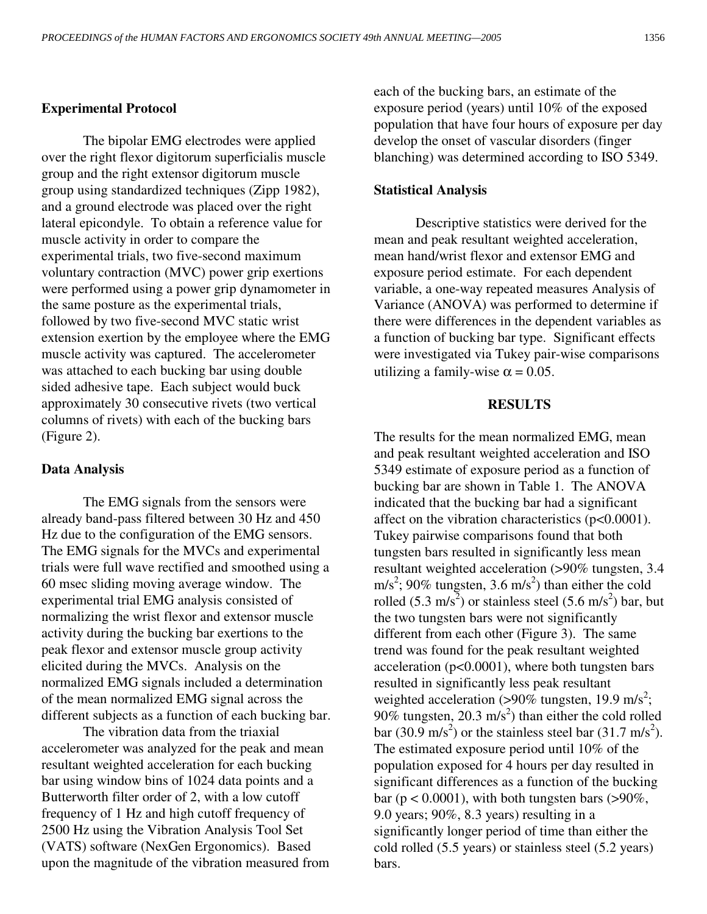#### **Experimental Protocol**

 The bipolar EMG electrodes were applied over the right flexor digitorum superficialis muscle group and the right extensor digitorum muscle group using standardized techniques (Zipp 1982), and a ground electrode was placed over the right lateral epicondyle. To obtain a reference value for muscle activity in order to compare the experimental trials, two five-second maximum voluntary contraction (MVC) power grip exertions were performed using a power grip dynamometer in the same posture as the experimental trials, followed by two five-second MVC static wrist extension exertion by the employee where the EMG muscle activity was captured. The accelerometer was attached to each bucking bar using double sided adhesive tape. Each subject would buck approximately 30 consecutive rivets (two vertical columns of rivets) with each of the bucking bars (Figure 2).

#### **Data Analysis**

 The EMG signals from the sensors were already band-pass filtered between 30 Hz and 450 Hz due to the configuration of the EMG sensors. The EMG signals for the MVCs and experimental trials were full wave rectified and smoothed using a 60 msec sliding moving average window. The experimental trial EMG analysis consisted of normalizing the wrist flexor and extensor muscle activity during the bucking bar exertions to the peak flexor and extensor muscle group activity elicited during the MVCs. Analysis on the normalized EMG signals included a determination of the mean normalized EMG signal across the different subjects as a function of each bucking bar.

 The vibration data from the triaxial accelerometer was analyzed for the peak and mean resultant weighted acceleration for each bucking bar using window bins of 1024 data points and a Butterworth filter order of 2, with a low cutoff frequency of 1 Hz and high cutoff frequency of 2500 Hz using the Vibration Analysis Tool Set (VATS) software (NexGen Ergonomics). Based upon the magnitude of the vibration measured from each of the bucking bars, an estimate of the exposure period (years) until 10% of the exposed population that have four hours of exposure per day develop the onset of vascular disorders (finger blanching) was determined according to ISO 5349.

#### **Statistical Analysis**

 Descriptive statistics were derived for the mean and peak resultant weighted acceleration, mean hand/wrist flexor and extensor EMG and exposure period estimate. For each dependent variable, a one-way repeated measures Analysis of Variance (ANOVA) was performed to determine if there were differences in the dependent variables as a function of bucking bar type. Significant effects were investigated via Tukey pair-wise comparisons utilizing a family-wise  $\alpha = 0.05$ .

#### **RESULTS**

The results for the mean normalized EMG, mean and peak resultant weighted acceleration and ISO 5349 estimate of exposure period as a function of bucking bar are shown in Table 1. The ANOVA indicated that the bucking bar had a significant affect on the vibration characteristics  $(p<0.0001)$ . Tukey pairwise comparisons found that both tungsten bars resulted in significantly less mean resultant weighted acceleration (>90% tungsten, 3.4 m/s<sup>2</sup>; 90% tungsten, 3.6 m/s<sup>2</sup>) than either the cold rolled  $(5.3 \text{ m/s}^2)$  or stainless steel  $(5.6 \text{ m/s}^2)$  bar, but the two tungsten bars were not significantly different from each other (Figure 3). The same trend was found for the peak resultant weighted acceleration (p<0.0001), where both tungsten bars resulted in significantly less peak resultant weighted acceleration ( $>90\%$  tungsten, 19.9 m/s<sup>2</sup>; 90% tungsten, 20.3 m/s<sup>2</sup>) than either the cold rolled bar (30.9 m/s<sup>2</sup>) or the stainless steel bar (31.7 m/s<sup>2</sup>). The estimated exposure period until 10% of the population exposed for 4 hours per day resulted in significant differences as a function of the bucking bar ( $p < 0.0001$ ), with both tungsten bars (>90%, 9.0 years; 90%, 8.3 years) resulting in a significantly longer period of time than either the cold rolled (5.5 years) or stainless steel (5.2 years) bars.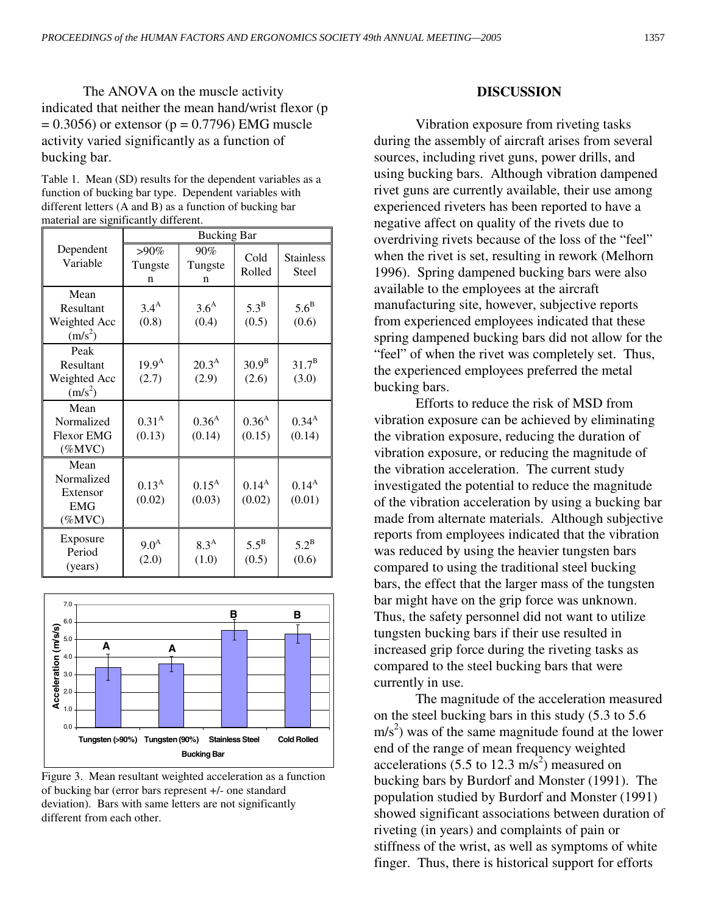The ANOVA on the muscle activity indicated that neither the mean hand/wrist flexor (p  $= 0.3056$ ) or extensor (p = 0.7796) EMG muscle activity varied significantly as a function of bucking bar.

Table 1. Mean (SD) results for the dependent variables as a function of bucking bar type. Dependent variables with different letters (A and B) as a function of bucking bar material are significantly different.

|                                                           | <b>Bucking Bar</b>          |                           |                             |                           |
|-----------------------------------------------------------|-----------------------------|---------------------------|-----------------------------|---------------------------|
| Dependent<br>Variable                                     | $>90\%$<br>Tungste<br>n     | 90%<br>Tungste<br>n       | Cold<br>Rolled              | <b>Stainless</b><br>Steel |
| Mean<br>Resultant<br>Weighted Acc<br>$(m/s^2)$            | 3.4 <sup>A</sup><br>(0.8)   | 3.6 <sup>A</sup><br>(0.4) | $5.3^{\rm B}$<br>(0.5)      | $5.6^{\rm B}$<br>(0.6)    |
| Peak<br>Resultant<br>Weighted Acc<br>$(m/s^2)$            | $19.9^{\rm A}$<br>(2.7)     | $20.3^{A}$<br>(2.9)       | 30.9 <sup>B</sup><br>(2.6)  | $31.7^{\rm B}$<br>(3.0)   |
| Mean<br>Normalized<br><b>Flexor EMG</b><br>$(\%MVC)$      | 0.31 <sup>A</sup><br>(0.13) | $0.36^{A}$<br>(0.14)      | 0.36 <sup>A</sup><br>(0.15) | $0.34^{A}$<br>(0.14)      |
| Mean<br>Normalized<br>Extensor<br><b>EMG</b><br>$(\%MVC)$ | $0.13^{A}$<br>(0.02)        | $0.15^{A}$<br>(0.03)      | $0.14^{A}$<br>(0.02)        | $0.14^{A}$<br>(0.01)      |
| Exposure<br>Period<br>(years)                             | 9.0 <sup>A</sup><br>(2.0)   | 8.3 <sup>A</sup><br>(1.0) | $5.5^{\rm B}$<br>(0.5)      | $5.2^{\rm B}$<br>(0.6)    |



Figure 3. Mean resultant weighted acceleration as a function of bucking bar (error bars represent +/- one standard deviation). Bars with same letters are not significantly different from each other.

#### **DISCUSSION**

 Vibration exposure from riveting tasks during the assembly of aircraft arises from several sources, including rivet guns, power drills, and using bucking bars. Although vibration dampened rivet guns are currently available, their use among experienced riveters has been reported to have a negative affect on quality of the rivets due to overdriving rivets because of the loss of the "feel" when the rivet is set, resulting in rework (Melhorn 1996). Spring dampened bucking bars were also available to the employees at the aircraft manufacturing site, however, subjective reports from experienced employees indicated that these spring dampened bucking bars did not allow for the "feel" of when the rivet was completely set. Thus, the experienced employees preferred the metal bucking bars.

 Efforts to reduce the risk of MSD from vibration exposure can be achieved by eliminating the vibration exposure, reducing the duration of vibration exposure, or reducing the magnitude of the vibration acceleration. The current study investigated the potential to reduce the magnitude of the vibration acceleration by using a bucking bar made from alternate materials. Although subjective reports from employees indicated that the vibration was reduced by using the heavier tungsten bars compared to using the traditional steel bucking bars, the effect that the larger mass of the tungsten bar might have on the grip force was unknown. Thus, the safety personnel did not want to utilize tungsten bucking bars if their use resulted in increased grip force during the riveting tasks as compared to the steel bucking bars that were currently in use.

 The magnitude of the acceleration measured on the steel bucking bars in this study (5.3 to 5.6  $m/s<sup>2</sup>$ ) was of the same magnitude found at the lower end of the range of mean frequency weighted accelerations (5.5 to 12.3 m/s<sup>2</sup>) measured on bucking bars by Burdorf and Monster (1991). The population studied by Burdorf and Monster (1991) showed significant associations between duration of riveting (in years) and complaints of pain or stiffness of the wrist, as well as symptoms of white finger. Thus, there is historical support for efforts